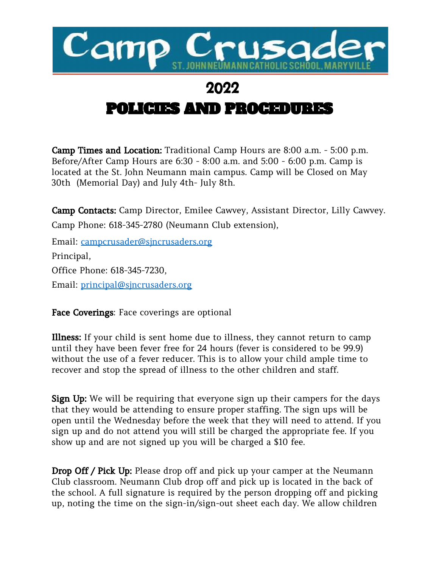

## 2022

## POLICIES AND PROCEDURES

Camp Times and Location: Traditional Camp Hours are 8:00 a.m. - 5:00 p.m. Before/After Camp Hours are 6:30 - 8:00 a.m. and 5:00 - 6:00 p.m. Camp is located at the St. John Neumann main campus. Camp will be Closed on May 30th (Memorial Day) and July 4th- July 8th.

Camp Contacts: Camp Director, Emilee Cawvey, Assistant Director, Lilly Cawvey. Camp Phone: 618-345-2780 (Neumann Club extension),

Email: [campcrusader@sjncrusaders.org](mailto:campcrusader@sjncrusaders.org) Principal, Office Phone: 618-345-7230, Email: [principal@sjncrusaders.org](mailto:principal@sjncrusaders.org)

Face Coverings: Face coverings are optional

Illness: If your child is sent home due to illness, they cannot return to camp until they have been fever free for 24 hours (fever is considered to be 99.9) without the use of a fever reducer. This is to allow your child ample time to recover and stop the spread of illness to the other children and staff.

Sign Up: We will be requiring that everyone sign up their campers for the days that they would be attending to ensure proper staffing. The sign ups will be open until the Wednesday before the week that they will need to attend. If you sign up and do not attend you will still be charged the appropriate fee. If you show up and are not signed up you will be charged a \$10 fee.

Drop Off / Pick Up: Please drop off and pick up your camper at the Neumann Club classroom. Neumann Club drop off and pick up is located in the back of the school. A full signature is required by the person dropping off and picking up, noting the time on the sign-in/sign-out sheet each day. We allow children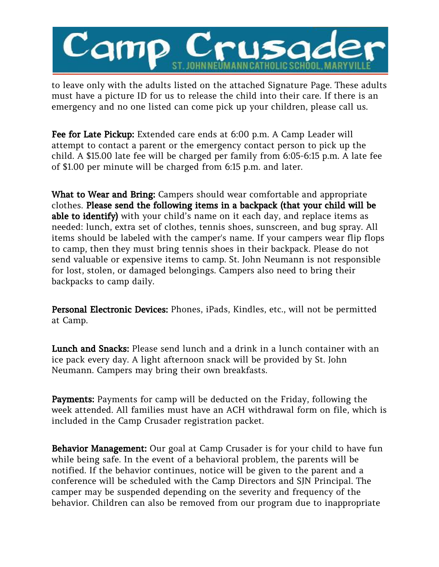

to leave only with the adults listed on the attached Signature Page. These adults must have a picture ID for us to release the child into their care. If there is an emergency and no one listed can come pick up your children, please call us.

Fee for Late Pickup: Extended care ends at 6:00 p.m. A Camp Leader will attempt to contact a parent or the emergency contact person to pick up the child. A \$15.00 late fee will be charged per family from 6:05-6:15 p.m. A late fee of \$1.00 per minute will be charged from 6:15 p.m. and later.

What to Wear and Bring: Campers should wear comfortable and appropriate clothes. Please send the following items in a backpack (that your child will be able to identify) with your child's name on it each day, and replace items as needed: lunch, extra set of clothes, tennis shoes, sunscreen, and bug spray. All items should be labeled with the camper's name. If your campers wear flip flops to camp, then they must bring tennis shoes in their backpack. Please do not send valuable or expensive items to camp. St. John Neumann is not responsible for lost, stolen, or damaged belongings. Campers also need to bring their backpacks to camp daily.

Personal Electronic Devices: Phones, iPads, Kindles, etc., will not be permitted at Camp.

Lunch and Snacks: Please send lunch and a drink in a lunch container with an ice pack every day. A light afternoon snack will be provided by St. John Neumann. Campers may bring their own breakfasts.

Payments: Payments for camp will be deducted on the Friday, following the week attended. All families must have an ACH withdrawal form on file, which is included in the Camp Crusader registration packet.

Behavior Management: Our goal at Camp Crusader is for your child to have fun while being safe. In the event of a behavioral problem, the parents will be notified. If the behavior continues, notice will be given to the parent and a conference will be scheduled with the Camp Directors and SJN Principal. The camper may be suspended depending on the severity and frequency of the behavior. Children can also be removed from our program due to inappropriate